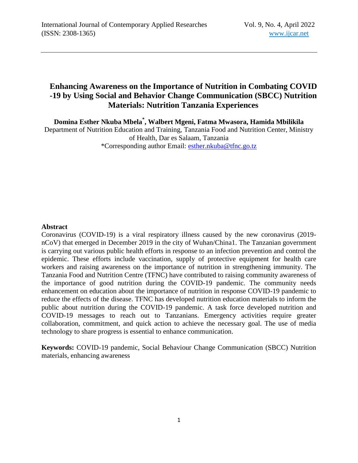# **Enhancing Awareness on the Importance of Nutrition in Combating COVID -19 by Using Social and Behavior Change Communication (SBCC) Nutrition Materials: Nutrition Tanzania Experiences**

**Domina Esther Nkuba Mbela \* , Walbert Mgeni, Fatma Mwasora, Hamida Mbilikila**

Department of Nutrition Education and Training, Tanzania Food and Nutrition Center, Ministry of Health, Dar es Salaam, Tanzania \*Corresponding author Email: [esther.nkuba@tfnc.go.tz](mailto:esther.nkuba@tfnc.go.tz)

## **Abstract**

Coronavirus (COVID-19) is a viral respiratory illness caused by the new coronavirus (2019 nCoV) that emerged in December 2019 in the city of Wuhan/China1. The Tanzanian government is carrying out various public health efforts in response to an infection prevention and control the epidemic. These efforts include vaccination, supply of protective equipment for health care workers and raising awareness on the importance of nutrition in strengthening immunity. The Tanzania Food and Nutrition Centre (TFNC) have contributed to raising community awareness of the importance of good nutrition during the COVID-19 pandemic. The community needs enhancement on education about the importance of nutrition in response COVID-19 pandemic to reduce the effects of the disease. TFNC has developed nutrition education materials to inform the public about nutrition during the COVID-19 pandemic. A task force developed nutrition and COVID-19 messages to reach out to Tanzanians. Emergency activities require greater collaboration, commitment, and quick action to achieve the necessary goal. The use of media technology to share progress is essential to enhance communication.

**Keywords:** COVID-19 pandemic, Social Behaviour Change Communication (SBCC) Nutrition materials, enhancing awareness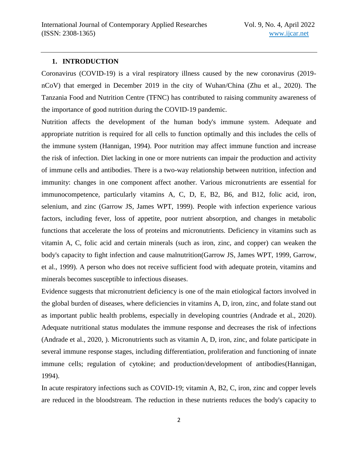# **1. INTRODUCTION**

Coronavirus (COVID-19) is a viral respiratory illness caused by the new coronavirus (2019 nCoV) that emerged in December 2019 in the city of Wuhan/China (Zhu et al., 2020). The Tanzania Food and Nutrition Centre (TFNC) has contributed to raising community awareness of the importance of good nutrition during the COVID-19 pandemic.

Nutrition affects the development of the human body's immune system. Adequate and appropriate nutrition is required for all cells to function optimally and this includes the cells of the immune system (Hannigan, 1994). Poor nutrition may affect immune function and increase the risk of infection. Diet lacking in one or more nutrients can impair the production and activity of immune cells and antibodies. There is a two-way relationship between nutrition, infection and immunity: changes in one component affect another. Various micronutrients are essential for immunocompetence, particularly vitamins A, C, D, E, B2, B6, and B12, folic acid, iron, selenium, and zinc (Garrow JS, James WPT, 1999). People with infection experience various factors, including fever, loss of appetite, poor nutrient absorption, and changes in metabolic functions that accelerate the loss of proteins and micronutrients. Deficiency in vitamins such as vitamin A, C, folic acid and certain minerals (such as iron, zinc, and copper) can weaken the body's capacity to fight infection and cause malnutrition(Garrow JS, James WPT, 1999, Garrow, et al., 1999). A person who does not receive sufficient food with adequate protein, vitamins and minerals becomes susceptible to infectious diseases.

Evidence suggests that micronutrient deficiency is one of the main etiological factors involved in the global burden of diseases, where deficiencies in vitamins A, D, iron, zinc, and folate stand out as important public health problems, especially in developing countries (Andrade et al., 2020). Adequate nutritional status modulates the immune response and decreases the risk of infections (Andrade et al., 2020, ). Micronutrients such as vitamin A, D, iron, zinc, and folate participate in several immune response stages, including differentiation, proliferation and functioning of innate immune cells; regulation of cytokine; and production/development of antibodies(Hannigan, 1994).

In acute respiratory infections such as COVID-19; vitamin A, B2, C, iron, zinc and copper levels are reduced in the bloodstream. The reduction in these nutrients reduces the body's capacity to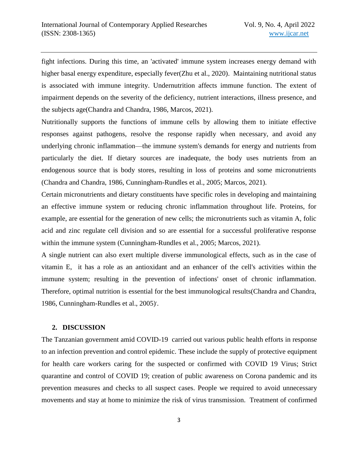fight infections. During this time, an 'activated' immune system increases energy demand with higher basal energy expenditure, especially fever(Zhu et al., 2020). Maintaining nutritional status is associated with immune integrity. Undernutrition affects immune function. The extent of impairment depends on the severity of the deficiency, nutrient interactions, illness presence, and the subjects age(Chandra and Chandra, 1986, Marcos, 2021).

Nutritionally supports the functions of immune cells by allowing them to initiate effective responses against pathogens, resolve the response rapidly when necessary, and avoid any underlying chronic inflammation—the immune system's demands for energy and nutrients from particularly the diet. If dietary sources are inadequate, the body uses nutrients from an endogenous source that is body stores, resulting in loss of proteins and some micronutrients (Chandra and Chandra, 1986, Cunningham-Rundles et al., 2005; Marcos, 2021).

Certain micronutrients and dietary constituents have specific roles in developing and maintaining an effective immune system or reducing chronic inflammation throughout life. Proteins, for example, are essential for the generation of new cells; the micronutrients such as vitamin A, folic acid and zinc regulate cell division and so are essential for a successful proliferative response within the immune system (Cunningham-Rundles et al., 2005; Marcos, 2021).

A single nutrient can also exert multiple diverse immunological effects, such as in the case of vitamin E, it has a role as an antioxidant and an enhancer of the cell's activities within the immune system; resulting in the prevention of infections' onset of chronic inflammation. Therefore, optimal nutrition is essential for the best immunological results(Chandra and Chandra, 1986, Cunningham-Rundles et al., 2005).

## **2. DISCUSSION**

The Tanzanian government amid COVID-19 carried out various public health efforts in response to an infection prevention and control epidemic. These include the supply of protective equipment for health care workers caring for the suspected or confirmed with COVID 19 Virus; Strict quarantine and control of COVID 19; creation of public awareness on Corona pandemic and its prevention measures and checks to all suspect cases. People we required to avoid unnecessary movements and stay at home to minimize the risk of virus transmission. Treatment of confirmed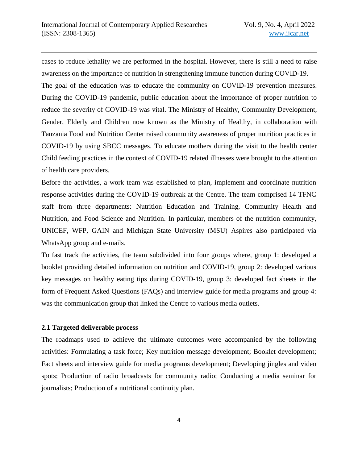cases to reduce lethality we are performed in the hospital. However, there is still a need to raise awareness on the importance of nutrition in strengthening immune function during COVID-19. The goal of the education was to educate the community on COVID-19 prevention measures. During the COVID-19 pandemic, public education about the importance of proper nutrition to reduce the severity of COVID-19 was vital. The Ministry of Healthy, Community Development, Gender, Elderly and Children now known as the Ministry of Healthy, in collaboration with Tanzania Food and Nutrition Center raised community awareness of proper nutrition practices in COVID-19 by using SBCC messages. To educate mothers during the visit to the health center Child feeding practices in the context of COVID-19 related illnesses were brought to the attention of health care providers.

Before the activities, a work team was established to plan, implement and coordinate nutrition response activities during the COVID-19 outbreak at the Centre. The team comprised 14 TFNC staff from three departments: Nutrition Education and Training, Community Health and Nutrition, and Food Science and Nutrition. In particular, members of the nutrition community, UNICEF, WFP, GAIN and Michigan State University (MSU) Aspires also participated via WhatsApp group and e-mails.

To fast track the activities, the team subdivided into four groups where, group 1: developed a booklet providing detailed information on nutrition and COVID-19, group 2: developed various key messages on healthy eating tips during COVID-19, group 3: developed fact sheets in the form of Frequent Asked Questions (FAQs) and interview guide for media programs and group 4: was the communication group that linked the Centre to various media outlets.

# **2.1 Targeted deliverable process**

The roadmaps used to achieve the ultimate outcomes were accompanied by the following activities: Formulating a task force; Key nutrition message development; Booklet development; Fact sheets and interview guide for media programs development; Developing jingles and video spots; Production of radio broadcasts for community radio; Conducting a media seminar for journalists; Production of a nutritional continuity plan.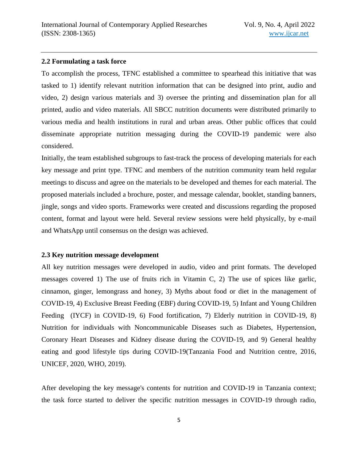## **2.2 Formulating a task force**

To accomplish the process, TFNC established a committee to spearhead this initiative that was tasked to 1) identify relevant nutrition information that can be designed into print, audio and video, 2) design various materials and 3) oversee the printing and dissemination plan for all printed, audio and video materials. All SBCC nutrition documents were distributed primarily to various media and health institutions in rural and urban areas. Other public offices that could disseminate appropriate nutrition messaging during the COVID-19 pandemic were also considered.

Initially, the team established subgroups to fast-track the process of developing materials for each key message and print type. TFNC and members of the nutrition community team held regular meetings to discuss and agree on the materials to be developed and themes for each material. The proposed materials included a brochure, poster, and message calendar, booklet, standing banners, jingle, songs and video sports. Frameworks were created and discussions regarding the proposed content, format and layout were held. Several review sessions were held physically, by e-mail and WhatsApp until consensus on the design was achieved.

# **2.3 Key nutrition message development**

All key nutrition messages were developed in audio, video and print formats. The developed messages covered 1) The use of fruits rich in Vitamin C, 2) The use of spices like garlic, cinnamon, ginger, lemongrass and honey, 3) Myths about food or diet in the management of COVID-19, 4) Exclusive Breast Feeding (EBF) during COVID-19, 5) Infant and Young Children Feeding (IYCF) in COVID-19, 6) Food fortification, 7) Elderly nutrition in COVID-19, 8) Nutrition for individuals with Noncommunicable Diseases such as Diabetes, Hypertension, Coronary Heart Diseases and Kidney disease during the COVID-19, and 9) General healthy eating and good lifestyle tips during COVID-19(Tanzania Food and Nutrition centre, 2016, UNICEF, 2020, WHO, 2019).

After developing the key message's contents for nutrition and COVID-19 in Tanzania context; the task force started to deliver the specific nutrition messages in COVID-19 through radio,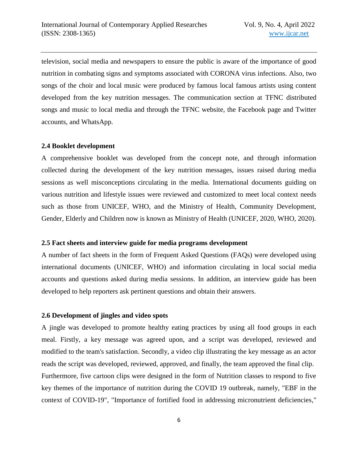television, social media and newspapers to ensure the public is aware of the importance of good nutrition in combating signs and symptoms associated with CORONA virus infections. Also, two songs of the choir and local music were produced by famous local famous artists using content developed from the key nutrition messages. The communication section at TFNC distributed songs and music to local media and through the TFNC website, the Facebook page and Twitter accounts, and WhatsApp.

#### **2.4 Booklet development**

A comprehensive booklet was developed from the concept note, and through information collected during the development of the key nutrition messages, issues raised during media sessions as well misconceptions circulating in the media. International documents guiding on various nutrition and lifestyle issues were reviewed and customized to meet local context needs such as those from UNICEF, WHO, and the Ministry of Health, Community Development, Gender, Elderly and Children now is known as Ministry of Health (UNICEF, 2020, WHO, 2020).

#### **2.5 Fact sheets and interview guide for media programs development**

A number of fact sheets in the form of Frequent Asked Questions (FAQs) were developed using international documents (UNICEF, WHO) and information circulating in local social media accounts and questions asked during media sessions. In addition, an interview guide has been developed to help reporters ask pertinent questions and obtain their answers.

# **2.6 Development of jingles and video spots**

A jingle was developed to promote healthy eating practices by using all food groups in each meal. Firstly, a key message was agreed upon, and a script was developed, reviewed and modified to the team's satisfaction. Secondly, a video clip illustrating the key message as an actor reads the script was developed, reviewed, approved, and finally, the team approved the final clip. Furthermore, five cartoon clips were designed in the form of Nutrition classes to respond to five key themes of the importance of nutrition during the COVID 19 outbreak, namely, "EBF in the context of COVID-19", "Importance of fortified food in addressing micronutrient deficiencies,"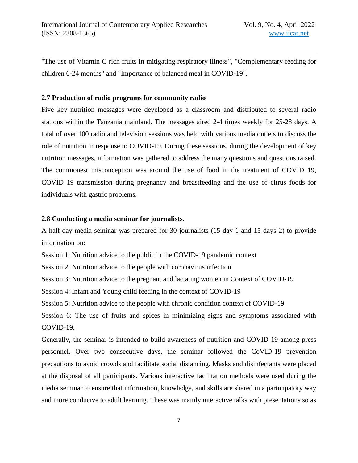"The use of Vitamin C rich fruits in mitigating respiratory illness", "Complementary feeding for children 6-24 months" and "Importance of balanced meal in COVID-19".

# **2.7 Production of radio programs for community radio**

Five key nutrition messages were developed as a classroom and distributed to several radio stations within the Tanzania mainland. The messages aired 2-4 times weekly for 25-28 days. A total of over 100 radio and television sessions was held with various media outlets to discuss the role of nutrition in response to COVID-19. During these sessions, during the development of key nutrition messages, information was gathered to address the many questions and questions raised. The commonest misconception was around the use of food in the treatment of COVID 19, COVID 19 transmission during pregnancy and breastfeeding and the use of citrus foods for individuals with gastric problems.

## **2.8 Conducting a media seminar for journalists.**

A half-day media seminar was prepared for 30 journalists (15 day 1 and 15 days 2) to provide information on:

Session 1: Nutrition advice to the public in the COVID-19 pandemic context

Session 2: Nutrition advice to the people with coronavirus infection

Session 3: Nutrition advice to the pregnant and lactating women in Context of COVID-19

Session 4: Infant and Young child feeding in the context of COVID-19

Session 5: Nutrition advice to the people with chronic condition context of COVID-19

Session 6: The use of fruits and spices in minimizing signs and symptoms associated with COVID-19.

Generally, the seminar is intended to build awareness of nutrition and COVID 19 among press personnel. Over two consecutive days, the seminar followed the CoVID-19 prevention precautions to avoid crowds and facilitate social distancing. Masks and disinfectants were placed at the disposal of all participants. Various interactive facilitation methods were used during the media seminar to ensure that information, knowledge, and skills are shared in a participatory way and more conducive to adult learning. These was mainly interactive talks with presentations so as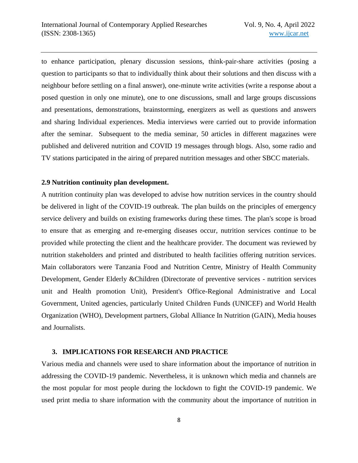to enhance participation, plenary discussion sessions, think-pair-share activities (posing a question to participants so that to individually think about their solutions and then discuss with a neighbour before settling on a final answer), one-minute write activities (write a response about a posed question in only one minute), one to one discussions, small and large groups discussions and presentations, demonstrations, brainstorming, energizers as well as questions and answers and sharing Individual experiences. Media interviews were carried out to provide information after the seminar. Subsequent to the media seminar, 50 articles in different magazines were published and delivered nutrition and COVID 19 messages through blogs. Also, some radio and TV stations participated in the airing of prepared nutrition messages and other SBCC materials.

#### **2.9 Nutrition continuity plan development.**

A nutrition continuity plan was developed to advise how nutrition services in the country should be delivered in light of the COVID-19 outbreak. The plan builds on the principles of emergency service delivery and builds on existing frameworks during these times. The plan's scope is broad to ensure that as emerging and re-emerging diseases occur, nutrition services continue to be provided while protecting the client and the healthcare provider. The document was reviewed by nutrition stakeholders and printed and distributed to health facilities offering nutrition services. Main collaborators were Tanzania Food and Nutrition Centre, Ministry of Health Community Development, Gender Elderly &Children (Directorate of preventive services - nutrition services unit and Health promotion Unit), President's Office-Regional Administrative and Local Government, United agencies, particularly United Children Funds (UNICEF) and World Health Organization (WHO), Development partners, Global Alliance In Nutrition (GAIN), Media houses and Journalists.

## **3. IMPLICATIONS FOR RESEARCH AND PRACTICE**

Various media and channels were used to share information about the importance of nutrition in addressing the COVID-19 pandemic. Nevertheless, it is unknown which media and channels are the most popular for most people during the lockdown to fight the COVID-19 pandemic. We used print media to share information with the community about the importance of nutrition in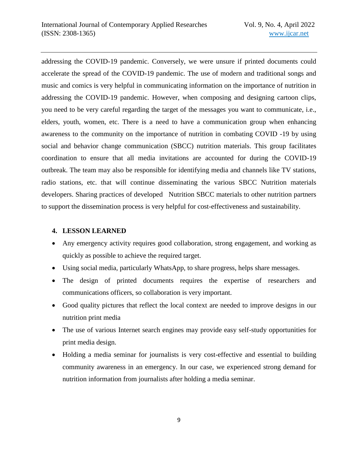addressing the COVID-19 pandemic. Conversely, we were unsure if printed documents could accelerate the spread of the COVID-19 pandemic. The use of modern and traditional songs and music and comics is very helpful in communicating information on the importance of nutrition in addressing the COVID-19 pandemic. However, when composing and designing cartoon clips, you need to be very careful regarding the target of the messages you want to communicate, i.e., elders, youth, women, etc. There is a need to have a communication group when enhancing awareness to the community on the importance of nutrition in combating COVID -19 by using social and behavior change communication (SBCC) nutrition materials. This group facilitates coordination to ensure that all media invitations are accounted for during the COVID-19 outbreak. The team may also be responsible for identifying media and channels like TV stations, radio stations, etc. that will continue disseminating the various SBCC Nutrition materials developers. Sharing practices of developed Nutrition SBCC materials to other nutrition partners to support the dissemination process is very helpful for cost-effectiveness and sustainability.

# **4. LESSON LEARNED**

- Any emergency activity requires good collaboration, strong engagement, and working as quickly as possible to achieve the required target.
- Using social media, particularly WhatsApp, to share progress, helps share messages.
- The design of printed documents requires the expertise of researchers and communications officers, so collaboration is very important.
- Good quality pictures that reflect the local context are needed to improve designs in our nutrition print media
- The use of various Internet search engines may provide easy self-study opportunities for print media design.
- Holding a media seminar for journalists is very cost-effective and essential to building community awareness in an emergency. In our case, we experienced strong demand for nutrition information from journalists after holding a media seminar.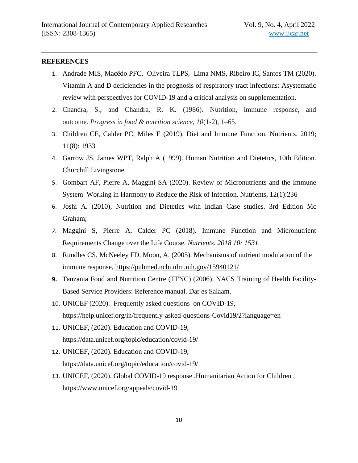## **REFERENCES**

- 1. Andrade MIS, Macêdo PFC, Oliveira TLPS, Lima NMS, Ribeiro IC, Santos TM (2020). Vitamin A and D deficiencies in the prognosis of respiratory tract infections: Asystematic review with perspectives for COVID-19 and a critical analysis on supplementation.
- 2. Chandra, S., and Chandra, R. K. (1986). Nutrition, immune response, and outcome. *Progress in food & nutrition science*, *10*(1-2), 1–65.
- 3. Children CE, Calder PC, Miles E (2019). Diet and Immune Function. Nutrients. 2019; 11(8): 1933
- 4. Garrow JS, James WPT, Ralph A (1999). Human Nutrition and Dietetics, 10th Edition. Churchill Livingstone.
- 5. Gombart AF, Pierre A, Maggini SA (2020). Review of Micronutrients and the Immune System–Working in Harmony to Reduce the Risk of Infection. Nutrients, 12(1):236
- 6. Joshi A. (2010), Nutrition and Dietetics with Indian Case studies. 3rd Edition Mc Graham;
- *7.* Maggini S, Pierre A, Calder PC (2018). Immune Function and Micronutrient Requirements Change over the Life Course. *Nutrients. 2018 10: 1531.*
- 8. Rundles CS, McNeeley FD, Moon, A. (2005). Mechanisms of nutrient modulation of the immune response,<https://pubmed.ncbi.nlm.nih.gov/15940121/>
- **9.** Tanzania Food and Nutrition Centre (TFNC) (2006). NACS Training of Health Facility-Based Service Providers: Reference manual. Dar es Salaam.
- 10. UNICEF (2020). Frequently asked questions on COVID-19, https://help.unicef.org/in/frequently-asked-questions-Covid19/2?language=en
- 11. UNICEF, (2020). Education and COVID-19, <https://data.unicef.org/topic/education/covid-19/>
- 12. UNICEF, (2020). Education and COVID-19, https://data.unicef.org/topic/education/covid-19/
- 13. UNICEF, (2020). Global COVID-19 response ,Humanitarian Action for Children , https://www.unicef.org/appeals/covid-19